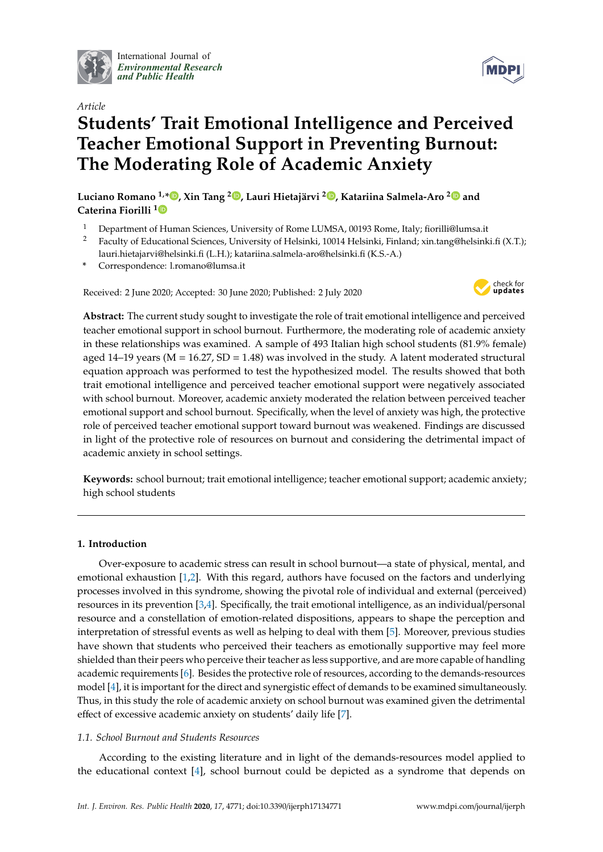

International Journal of *[Environmental Research](http://www.mdpi.com/journal/ijerph) and Public Health*



**MDP** 

# *Article* **Students' Trait Emotional Intelligence and Perceived Teacher Emotional Support in Preventing Burnout: The Moderating Role of Academic Anxiety**

**Luciano Romano 1,[\\*](https://orcid.org/0000-0001-5364-895X) , Xin Tang <sup>2</sup> [,](https://orcid.org/0000-0002-0155-4967) Lauri Hietajärvi <sup>2</sup> [,](https://orcid.org/0000-0003-2149-9237) Katariina Salmela-Aro [2](https://orcid.org/0000-0003-1901-4712) and Caterina Fiorilli [1](https://orcid.org/0000-0001-7284-7313)**

- <sup>1</sup> Department of Human Sciences, University of Rome LUMSA, 00193 Rome, Italy; fiorilli@lumsa.it<br><sup>2</sup> Eagelty of Educational Sciences, University of Holsinki, 10014 Holsinki, Einland vin tang@holsink
- <sup>2</sup> Faculty of Educational Sciences, University of Helsinki, 10014 Helsinki, Finland; xin.tang@helsinki.fi (X.T.); lauri.hietajarvi@helsinki.fi (L.H.); katariina.salmela-aro@helsinki.fi (K.S.-A.)
- **\*** Correspondence: l.romano@lumsa.it

Received: 2 June 2020; Accepted: 30 June 2020; Published: 2 July 2020



**Abstract:** The current study sought to investigate the role of trait emotional intelligence and perceived teacher emotional support in school burnout. Furthermore, the moderating role of academic anxiety in these relationships was examined. A sample of 493 Italian high school students (81.9% female) aged  $14-19$  years (M =  $16.27$ , SD =  $1.48$ ) was involved in the study. A latent moderated structural equation approach was performed to test the hypothesized model. The results showed that both trait emotional intelligence and perceived teacher emotional support were negatively associated with school burnout. Moreover, academic anxiety moderated the relation between perceived teacher emotional support and school burnout. Specifically, when the level of anxiety was high, the protective role of perceived teacher emotional support toward burnout was weakened. Findings are discussed in light of the protective role of resources on burnout and considering the detrimental impact of academic anxiety in school settings.

**Keywords:** school burnout; trait emotional intelligence; teacher emotional support; academic anxiety; high school students

# **1. Introduction**

Over-exposure to academic stress can result in school burnout—a state of physical, mental, and emotional exhaustion [\[1](#page-9-0)[,2\]](#page-9-1). With this regard, authors have focused on the factors and underlying processes involved in this syndrome, showing the pivotal role of individual and external (perceived) resources in its prevention [\[3](#page-9-2)[,4\]](#page-9-3). Specifically, the trait emotional intelligence, as an individual/personal resource and a constellation of emotion-related dispositions, appears to shape the perception and interpretation of stressful events as well as helping to deal with them [\[5\]](#page-9-4). Moreover, previous studies have shown that students who perceived their teachers as emotionally supportive may feel more shielded than their peers who perceive their teacher as less supportive, and are more capable of handling academic requirements [\[6\]](#page-9-5). Besides the protective role of resources, according to the demands-resources model [\[4\]](#page-9-3), it is important for the direct and synergistic effect of demands to be examined simultaneously. Thus, in this study the role of academic anxiety on school burnout was examined given the detrimental effect of excessive academic anxiety on students' daily life [\[7\]](#page-9-6).

# *1.1. School Burnout and Students Resources*

According to the existing literature and in light of the demands-resources model applied to the educational context [\[4\]](#page-9-3), school burnout could be depicted as a syndrome that depends on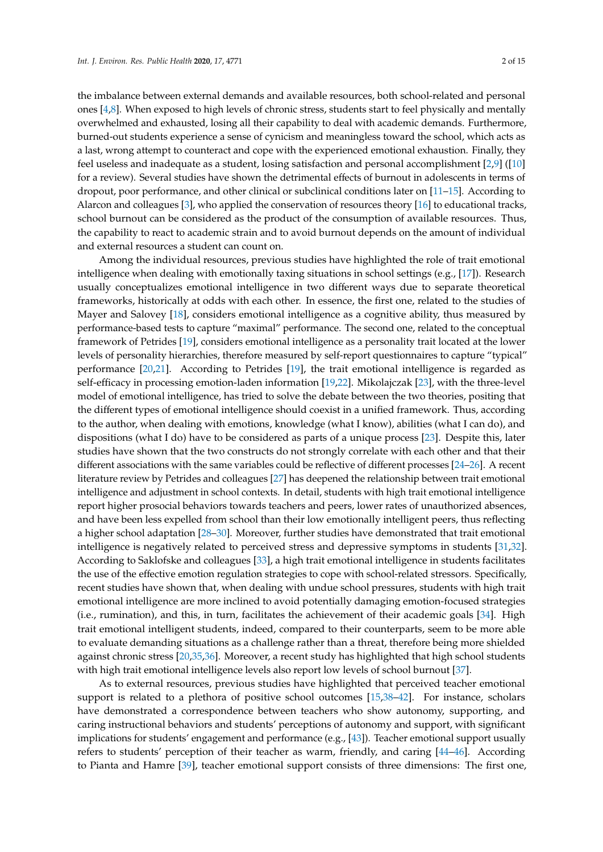the imbalance between external demands and available resources, both school-related and personal ones [\[4,](#page-9-3)[8\]](#page-9-7). When exposed to high levels of chronic stress, students start to feel physically and mentally overwhelmed and exhausted, losing all their capability to deal with academic demands. Furthermore, burned-out students experience a sense of cynicism and meaningless toward the school, which acts as a last, wrong attempt to counteract and cope with the experienced emotional exhaustion. Finally, they feel useless and inadequate as a student, losing satisfaction and personal accomplishment [\[2](#page-9-1)[,9\]](#page-10-0) ([\[10\]](#page-10-1) for a review). Several studies have shown the detrimental effects of burnout in adolescents in terms of dropout, poor performance, and other clinical or subclinical conditions later on [\[11–](#page-10-2)[15\]](#page-10-3). According to Alarcon and colleagues [\[3\]](#page-9-2), who applied the conservation of resources theory [\[16\]](#page-10-4) to educational tracks, school burnout can be considered as the product of the consumption of available resources. Thus, the capability to react to academic strain and to avoid burnout depends on the amount of individual and external resources a student can count on.

Among the individual resources, previous studies have highlighted the role of trait emotional intelligence when dealing with emotionally taxing situations in school settings (e.g., [\[17\]](#page-10-5)). Research usually conceptualizes emotional intelligence in two different ways due to separate theoretical frameworks, historically at odds with each other. In essence, the first one, related to the studies of Mayer and Salovey [\[18\]](#page-10-6), considers emotional intelligence as a cognitive ability, thus measured by performance-based tests to capture "maximal" performance. The second one, related to the conceptual framework of Petrides [\[19\]](#page-10-7), considers emotional intelligence as a personality trait located at the lower levels of personality hierarchies, therefore measured by self-report questionnaires to capture "typical" performance [\[20,](#page-10-8)[21\]](#page-10-9). According to Petrides [\[19\]](#page-10-7), the trait emotional intelligence is regarded as self-efficacy in processing emotion-laden information [\[19](#page-10-7)[,22\]](#page-10-10). Mikolajczak [\[23\]](#page-10-11), with the three-level model of emotional intelligence, has tried to solve the debate between the two theories, positing that the different types of emotional intelligence should coexist in a unified framework. Thus, according to the author, when dealing with emotions, knowledge (what I know), abilities (what I can do), and dispositions (what I do) have to be considered as parts of a unique process [\[23\]](#page-10-11). Despite this, later studies have shown that the two constructs do not strongly correlate with each other and that their different associations with the same variables could be reflective of different processes [\[24–](#page-10-12)[26\]](#page-10-13). A recent literature review by Petrides and colleagues [\[27\]](#page-10-14) has deepened the relationship between trait emotional intelligence and adjustment in school contexts. In detail, students with high trait emotional intelligence report higher prosocial behaviors towards teachers and peers, lower rates of unauthorized absences, and have been less expelled from school than their low emotionally intelligent peers, thus reflecting a higher school adaptation [\[28–](#page-10-15)[30\]](#page-10-16). Moreover, further studies have demonstrated that trait emotional intelligence is negatively related to perceived stress and depressive symptoms in students [\[31,](#page-10-17)[32\]](#page-10-18). According to Saklofske and colleagues [\[33\]](#page-11-0), a high trait emotional intelligence in students facilitates the use of the effective emotion regulation strategies to cope with school-related stressors. Specifically, recent studies have shown that, when dealing with undue school pressures, students with high trait emotional intelligence are more inclined to avoid potentially damaging emotion-focused strategies (i.e., rumination), and this, in turn, facilitates the achievement of their academic goals [\[34\]](#page-11-1). High trait emotional intelligent students, indeed, compared to their counterparts, seem to be more able to evaluate demanding situations as a challenge rather than a threat, therefore being more shielded against chronic stress [\[20,](#page-10-8)[35,](#page-11-2)[36\]](#page-11-3). Moreover, a recent study has highlighted that high school students with high trait emotional intelligence levels also report low levels of school burnout [\[37\]](#page-11-4).

As to external resources, previous studies have highlighted that perceived teacher emotional support is related to a plethora of positive school outcomes [\[15](#page-10-3)[,38](#page-11-5)[–42\]](#page-11-6). For instance, scholars have demonstrated a correspondence between teachers who show autonomy, supporting, and caring instructional behaviors and students' perceptions of autonomy and support, with significant implications for students' engagement and performance (e.g., [\[43\]](#page-11-7)). Teacher emotional support usually refers to students' perception of their teacher as warm, friendly, and caring [\[44](#page-11-8)[–46\]](#page-11-9). According to Pianta and Hamre [\[39\]](#page-11-10), teacher emotional support consists of three dimensions: The first one,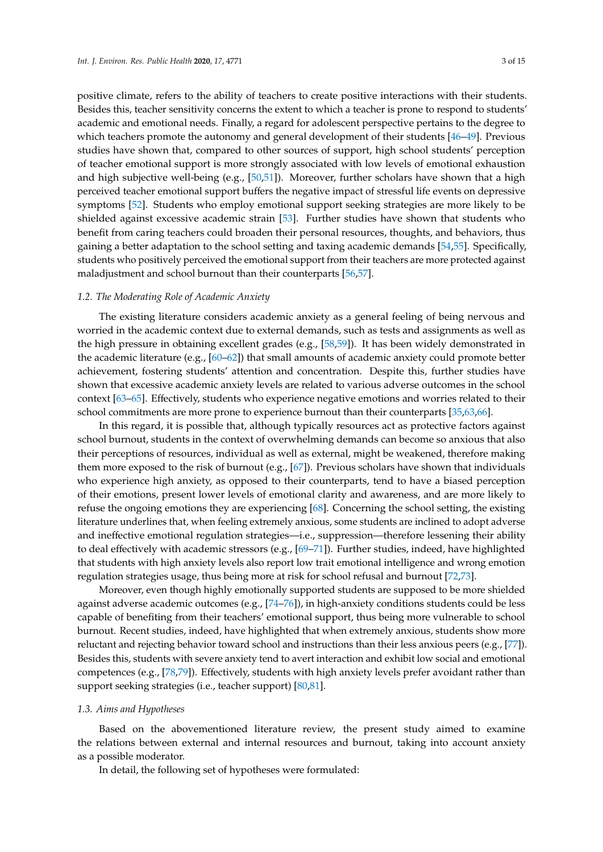positive climate, refers to the ability of teachers to create positive interactions with their students. Besides this, teacher sensitivity concerns the extent to which a teacher is prone to respond to students' academic and emotional needs. Finally, a regard for adolescent perspective pertains to the degree to which teachers promote the autonomy and general development of their students [\[46](#page-11-9)[–49\]](#page-11-11). Previous studies have shown that, compared to other sources of support, high school students' perception of teacher emotional support is more strongly associated with low levels of emotional exhaustion and high subjective well-being (e.g., [\[50,](#page-11-12)[51\]](#page-11-13)). Moreover, further scholars have shown that a high perceived teacher emotional support buffers the negative impact of stressful life events on depressive symptoms [\[52\]](#page-11-14). Students who employ emotional support seeking strategies are more likely to be shielded against excessive academic strain [\[53\]](#page-11-15). Further studies have shown that students who benefit from caring teachers could broaden their personal resources, thoughts, and behaviors, thus gaining a better adaptation to the school setting and taxing academic demands [\[54](#page-11-16)[,55\]](#page-11-17). Specifically, students who positively perceived the emotional support from their teachers are more protected against maladjustment and school burnout than their counterparts [\[56](#page-12-0)[,57\]](#page-12-1).

#### *1.2. The Moderating Role of Academic Anxiety*

The existing literature considers academic anxiety as a general feeling of being nervous and worried in the academic context due to external demands, such as tests and assignments as well as the high pressure in obtaining excellent grades (e.g., [\[58](#page-12-2)[,59\]](#page-12-3)). It has been widely demonstrated in the academic literature (e.g., [\[60](#page-12-4)[–62\]](#page-12-5)) that small amounts of academic anxiety could promote better achievement, fostering students' attention and concentration. Despite this, further studies have shown that excessive academic anxiety levels are related to various adverse outcomes in the school context [\[63–](#page-12-6)[65\]](#page-12-7). Effectively, students who experience negative emotions and worries related to their school commitments are more prone to experience burnout than their counterparts [\[35](#page-11-2)[,63,](#page-12-6)[66\]](#page-12-8).

In this regard, it is possible that, although typically resources act as protective factors against school burnout, students in the context of overwhelming demands can become so anxious that also their perceptions of resources, individual as well as external, might be weakened, therefore making them more exposed to the risk of burnout (e.g., [\[67\]](#page-12-9)). Previous scholars have shown that individuals who experience high anxiety, as opposed to their counterparts, tend to have a biased perception of their emotions, present lower levels of emotional clarity and awareness, and are more likely to refuse the ongoing emotions they are experiencing [\[68\]](#page-12-10). Concerning the school setting, the existing literature underlines that, when feeling extremely anxious, some students are inclined to adopt adverse and ineffective emotional regulation strategies—i.e., suppression—therefore lessening their ability to deal effectively with academic stressors (e.g., [\[69–](#page-12-11)[71\]](#page-12-12)). Further studies, indeed, have highlighted that students with high anxiety levels also report low trait emotional intelligence and wrong emotion regulation strategies usage, thus being more at risk for school refusal and burnout [\[72](#page-12-13)[,73\]](#page-12-14).

Moreover, even though highly emotionally supported students are supposed to be more shielded against adverse academic outcomes (e.g., [\[74](#page-12-15)[–76\]](#page-12-16)), in high-anxiety conditions students could be less capable of benefiting from their teachers' emotional support, thus being more vulnerable to school burnout. Recent studies, indeed, have highlighted that when extremely anxious, students show more reluctant and rejecting behavior toward school and instructions than their less anxious peers (e.g., [\[77\]](#page-12-17)). Besides this, students with severe anxiety tend to avert interaction and exhibit low social and emotional competences (e.g., [\[78](#page-12-18)[,79\]](#page-12-19)). Effectively, students with high anxiety levels prefer avoidant rather than support seeking strategies (i.e., teacher support) [\[80,](#page-13-0)[81\]](#page-13-1).

#### *1.3. Aims and Hypotheses*

Based on the abovementioned literature review, the present study aimed to examine the relations between external and internal resources and burnout, taking into account anxiety as a possible moderator.

In detail, the following set of hypotheses were formulated: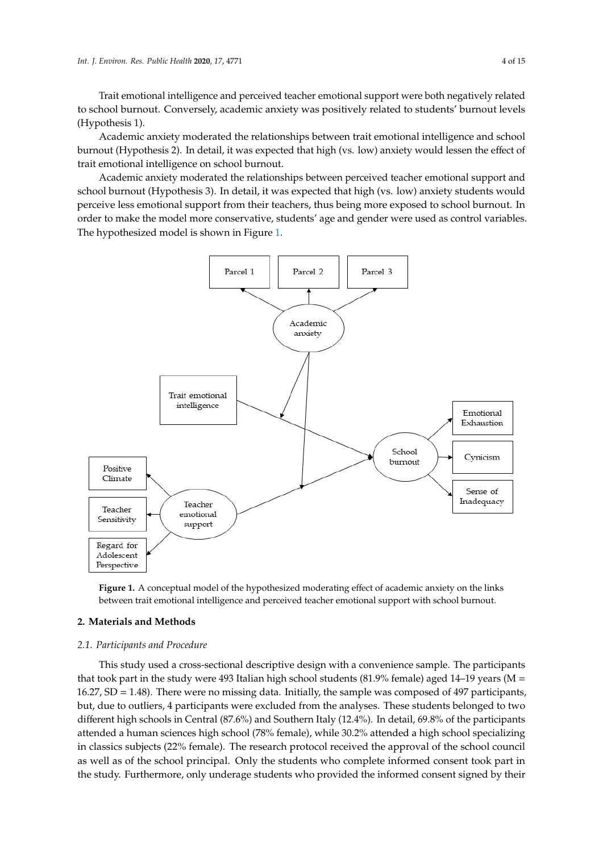Trait emotional intelligence and perceived teacher emotional support were both negatively related to school burnout. Conversely, academic anxiety was positively related to students' burnout levels (Hypothesis 1).

Academic anxiety moderated the relationships between trait emotional intelligence and school Academic anxiety moderated the relationships between trait emotional intelligence and school burnout (Hypothesis 2). In detail, it was expected that high (vs. low) anxiety would lessen the effect of trait emotional intelligence on school burnout. of trait emotional intelligence on school burnout.

Academic anxiety moderated the relationships between perceived teacher emotional support and Academic anxiety moderated the relationships between perceived teacher emotional support school burnout (Hypothesis 3). In detail, it was expected that high (vs. low) anxiety students would perceive less emotional support from their teachers, thus being more exposed to school burnout. In burnout. In order to make the model more conservative, students' age and gender were used as control variables. The hypothesized model is shown in Figure [1.](#page-3-0)

<span id="page-3-0"></span>

**Figure 1.** A conceptual model of the hypothesized moderating effect of academic anxiety on the links **Figure 1.** A conceptual model of the hypothesized moderating effect of academic anxiety on the links between trait emotional intelligence and perceived teacher emotional support with school burnout. between trait emotional intelligence and perceived teacher emotional support with school burnout.

#### **2. Materials and Methods**

#### *2.1. Participants and Procedure*

*2.1. Participants and Procedure*  that took part in the study were 493 Italian high school students (81.9% female) aged 14–19 years (M = 16.27, SD = 1.48). There were no missing data. Initially, the sample was composed of 497 participants, but, due to outliers, 4 participants were excluded from the analyses. These students belonged to two different high schools in Central (87.6%) and Southern Italy (12.4%). In detail, 69.8% of the participants attended a human sciences high school (78% female), while 30.2% attended a high school specializing in classics subjects (22% female). The research protocol received the approval of the school council as well as of the school principal. Only the students who complete informed consent took part in the study. Furthermore, only underage students who provided the informed consent signed by their This study used a cross-sectional descriptive design with a convenience sample. The participants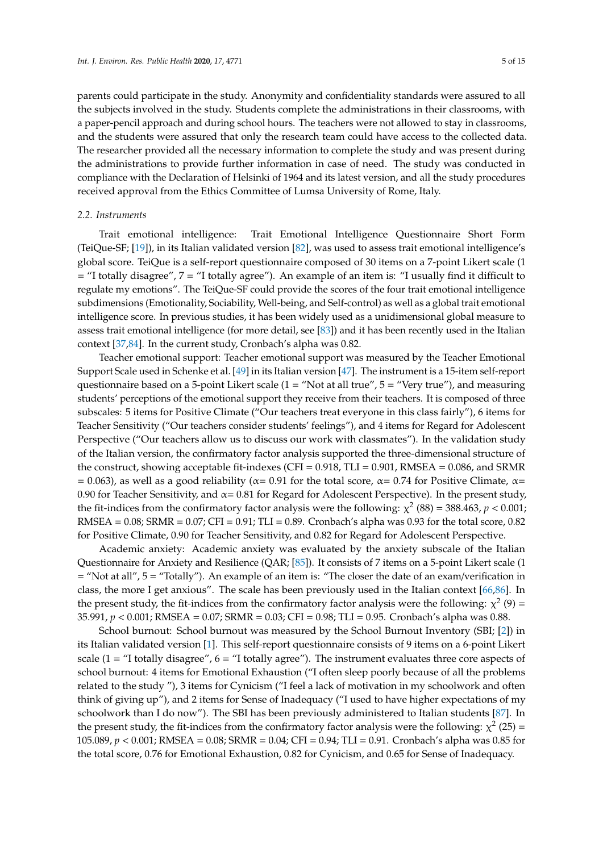parents could participate in the study. Anonymity and confidentiality standards were assured to all the subjects involved in the study. Students complete the administrations in their classrooms, with a paper-pencil approach and during school hours. The teachers were not allowed to stay in classrooms, and the students were assured that only the research team could have access to the collected data. The researcher provided all the necessary information to complete the study and was present during the administrations to provide further information in case of need. The study was conducted in compliance with the Declaration of Helsinki of 1964 and its latest version, and all the study procedures received approval from the Ethics Committee of Lumsa University of Rome, Italy.

## *2.2. Instruments*

Trait emotional intelligence: Trait Emotional Intelligence Questionnaire Short Form (TeiQue-SF; [\[19\]](#page-10-7)), in its Italian validated version [\[82\]](#page-13-2), was used to assess trait emotional intelligence's global score. TeiQue is a self-report questionnaire composed of 30 items on a 7-point Likert scale (1 = "I totally disagree", 7 = "I totally agree"). An example of an item is: "I usually find it difficult to regulate my emotions". The TeiQue-SF could provide the scores of the four trait emotional intelligence subdimensions (Emotionality, Sociability, Well-being, and Self-control) as well as a global trait emotional intelligence score. In previous studies, it has been widely used as a unidimensional global measure to assess trait emotional intelligence (for more detail, see [\[83\]](#page-13-3)) and it has been recently used in the Italian context [\[37](#page-11-4)[,84\]](#page-13-4). In the current study, Cronbach's alpha was 0.82.

Teacher emotional support: Teacher emotional support was measured by the Teacher Emotional Support Scale used in Schenke et al. [\[49\]](#page-11-11) in its Italian version [\[47\]](#page-11-18). The instrument is a 15-item self-report questionnaire based on a 5-point Likert scale  $(1 = "Not at all true", 5 = "Very true"),$  and measuring students' perceptions of the emotional support they receive from their teachers. It is composed of three subscales: 5 items for Positive Climate ("Our teachers treat everyone in this class fairly"), 6 items for Teacher Sensitivity ("Our teachers consider students' feelings"), and 4 items for Regard for Adolescent Perspective ("Our teachers allow us to discuss our work with classmates"). In the validation study of the Italian version, the confirmatory factor analysis supported the three-dimensional structure of the construct, showing acceptable fit-indexes (CFI =  $0.918$ , TLI =  $0.901$ , RMSEA =  $0.086$ , and SRMR = 0.063), as well as a good reliability ( $\alpha$ = 0.91 for the total score,  $\alpha$ = 0.74 for Positive Climate,  $\alpha$ = 0.90 for Teacher Sensitivity, and  $\alpha$  = 0.81 for Regard for Adolescent Perspective). In the present study, the fit-indices from the confirmatory factor analysis were the following:  $\chi^2$  (88) = 388.463, *p* < 0.001; RMSEA =  $0.08$ ; SRMR =  $0.07$ ; CFI =  $0.91$ ; TLI =  $0.89$ . Cronbach's alpha was 0.93 for the total score, 0.82 for Positive Climate, 0.90 for Teacher Sensitivity, and 0.82 for Regard for Adolescent Perspective.

Academic anxiety: Academic anxiety was evaluated by the anxiety subscale of the Italian Questionnaire for Anxiety and Resilience (QAR; [\[85\]](#page-13-5)). It consists of 7 items on a 5-point Likert scale (1 = "Not at all", 5 = "Totally"). An example of an item is: "The closer the date of an exam/verification in class, the more I get anxious". The scale has been previously used in the Italian context [\[66,](#page-12-8)[86\]](#page-13-6). In the present study, the fit-indices from the confirmatory factor analysis were the following:  $\chi^2$  (9) = 35.991, *p* < 0.001; RMSEA = 0.07; SRMR = 0.03; CFI = 0.98; TLI = 0.95. Cronbach's alpha was 0.88.

School burnout: School burnout was measured by the School Burnout Inventory (SBI; [\[2\]](#page-9-1)) in its Italian validated version [\[1\]](#page-9-0). This self-report questionnaire consists of 9 items on a 6-point Likert scale (1 = "I totally disagree",  $6 =$  "I totally agree"). The instrument evaluates three core aspects of school burnout: 4 items for Emotional Exhaustion ("I often sleep poorly because of all the problems related to the study "), 3 items for Cynicism ("I feel a lack of motivation in my schoolwork and often think of giving up"), and 2 items for Sense of Inadequacy ("I used to have higher expectations of my schoolwork than I do now"). The SBI has been previously administered to Italian students [\[87\]](#page-13-7). In the present study, the fit-indices from the confirmatory factor analysis were the following:  $\chi^2$  (25) = 105.089, *p* < 0.001; RMSEA = 0.08; SRMR = 0.04; CFI = 0.94; TLI = 0.91. Cronbach's alpha was 0.85 for the total score, 0.76 for Emotional Exhaustion, 0.82 for Cynicism, and 0.65 for Sense of Inadequacy.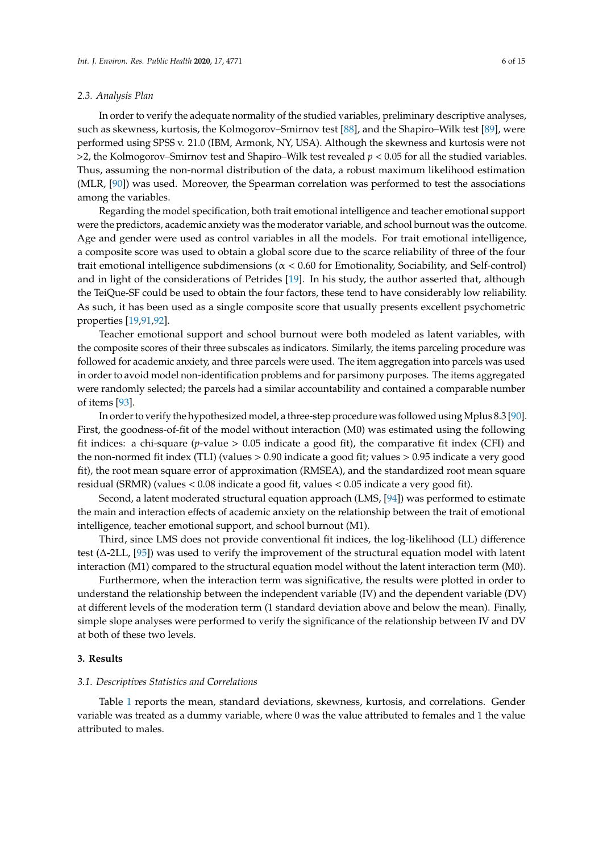#### *2.3. Analysis Plan*

In order to verify the adequate normality of the studied variables, preliminary descriptive analyses, such as skewness, kurtosis, the Kolmogorov–Smirnov test [\[88\]](#page-13-8), and the Shapiro–Wilk test [\[89\]](#page-13-9), were performed using SPSS v. 21.0 (IBM, Armonk, NY, USA). Although the skewness and kurtosis were not  $>$ 2, the Kolmogorov–Smirnov test and Shapiro–Wilk test revealed  $p < 0.05$  for all the studied variables. Thus, assuming the non-normal distribution of the data, a robust maximum likelihood estimation (MLR, [\[90\]](#page-13-10)) was used. Moreover, the Spearman correlation was performed to test the associations among the variables.

Regarding the model specification, both trait emotional intelligence and teacher emotional support were the predictors, academic anxiety was the moderator variable, and school burnout was the outcome. Age and gender were used as control variables in all the models. For trait emotional intelligence, a composite score was used to obtain a global score due to the scarce reliability of three of the four trait emotional intelligence subdimensions ( $\alpha$  < 0.60 for Emotionality, Sociability, and Self-control) and in light of the considerations of Petrides [\[19\]](#page-10-7). In his study, the author asserted that, although the TeiQue-SF could be used to obtain the four factors, these tend to have considerably low reliability. As such, it has been used as a single composite score that usually presents excellent psychometric properties [\[19,](#page-10-7)[91](#page-13-11)[,92\]](#page-13-12).

Teacher emotional support and school burnout were both modeled as latent variables, with the composite scores of their three subscales as indicators. Similarly, the items parceling procedure was followed for academic anxiety, and three parcels were used. The item aggregation into parcels was used in order to avoid model non-identification problems and for parsimony purposes. The items aggregated were randomly selected; the parcels had a similar accountability and contained a comparable number of items [\[93\]](#page-13-13).

In order to verify the hypothesized model, a three-step procedure was followed using Mplus 8.3 [\[90\]](#page-13-10). First, the goodness-of-fit of the model without interaction (M0) was estimated using the following fit indices: a chi-square (*p*-value > 0.05 indicate a good fit), the comparative fit index (CFI) and the non-normed fit index (TLI) (values > 0.90 indicate a good fit; values > 0.95 indicate a very good fit), the root mean square error of approximation (RMSEA), and the standardized root mean square residual (SRMR) (values < 0.08 indicate a good fit, values < 0.05 indicate a very good fit).

Second, a latent moderated structural equation approach (LMS, [\[94\]](#page-13-14)) was performed to estimate the main and interaction effects of academic anxiety on the relationship between the trait of emotional intelligence, teacher emotional support, and school burnout (M1).

Third, since LMS does not provide conventional fit indices, the log-likelihood (LL) difference test (∆-2LL, [\[95\]](#page-13-15)) was used to verify the improvement of the structural equation model with latent interaction (M1) compared to the structural equation model without the latent interaction term (M0).

Furthermore, when the interaction term was significative, the results were plotted in order to understand the relationship between the independent variable (IV) and the dependent variable (DV) at different levels of the moderation term (1 standard deviation above and below the mean). Finally, simple slope analyses were performed to verify the significance of the relationship between IV and DV at both of these two levels.

#### **3. Results**

#### *3.1. Descriptives Statistics and Correlations*

Table [1](#page-6-0) reports the mean, standard deviations, skewness, kurtosis, and correlations. Gender variable was treated as a dummy variable, where 0 was the value attributed to females and 1 the value attributed to males.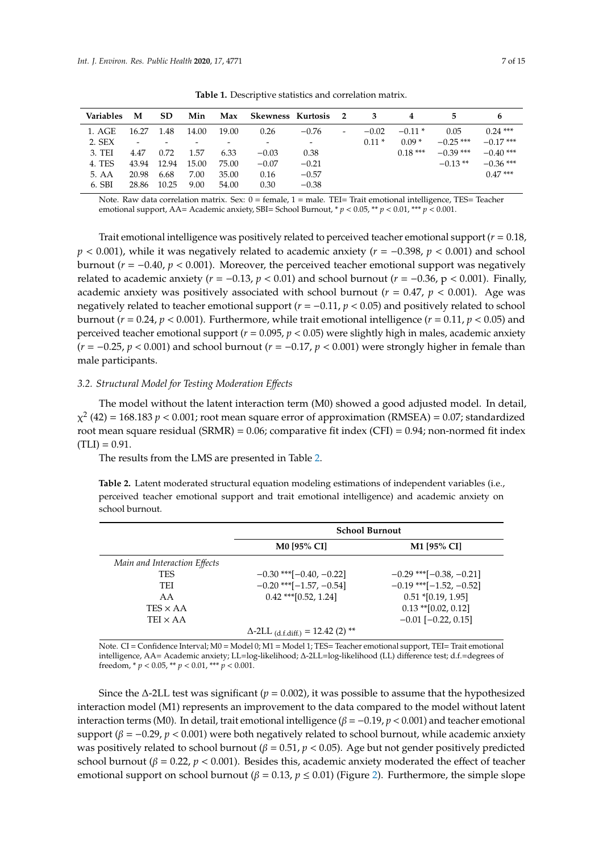<span id="page-6-0"></span>

| <b>Variables</b> | M     | <b>SD</b> | Min   | Max   | Skewness Kurtosis 2 |                          |                          | - 3     |           | 5           |                        |
|------------------|-------|-----------|-------|-------|---------------------|--------------------------|--------------------------|---------|-----------|-------------|------------------------|
| 1. AGE           | 16.27 | 1.48      | 14.00 | 19.00 | 0.26                | $-0.76$                  | $\overline{\phantom{a}}$ | $-0.02$ | $-0.11*$  | 0.05        | $0.24***$              |
| 2. SEX           |       |           |       |       |                     | $\overline{\phantom{a}}$ |                          | $0.11*$ | $0.09*$   | $-0.25$ *** | $-0.17$ ***            |
| 3. TEI           | 4.47  | 0.72      | 1.57  | 6.33  | $-0.03$             | 0.38                     |                          |         | $0.18***$ | $-0.39$ *** | $-0.40$ <sup>***</sup> |
| 4. TES           | 43.94 | 12.94     | 15.00 | 75.00 | $-0.07$             | $-0.21$                  |                          |         |           | $-0.13**$   | $-0.36$ ***            |
| 5. AA            | 20.98 | 6.68      | 7.00  | 35.00 | 0.16                | $-0.57$                  |                          |         |           |             | $0.47***$              |
| 6. SBI           | 28.86 | 10.25     | 9.00  | 54.00 | 0.30                | $-0.38$                  |                          |         |           |             |                        |

**Table 1.** Descriptive statistics and correlation matrix.

Note. Raw data correlation matrix. Sex: 0 = female, 1 = male. TEI= Trait emotional intelligence, TES= Teacher emotional support, AA= Academic anxiety, SBI= School Burnout, \* *p* < 0.05, \*\* *p* < 0.01, \*\*\* *p* < 0.001.

Trait emotional intelligence was positively related to perceived teacher emotional support (*r* = 0.18, *p* < 0.001), while it was negatively related to academic anxiety (*r* = −0.398, *p* < 0.001) and school burnout ( $r = -0.40$ ,  $p < 0.001$ ). Moreover, the perceived teacher emotional support was negatively related to academic anxiety ( $r = -0.13$ ,  $p < 0.01$ ) and school burnout ( $r = -0.36$ ,  $p < 0.001$ ). Finally, academic anxiety was positively associated with school burnout ( $r = 0.47$ ,  $p < 0.001$ ). Age was negatively related to teacher emotional support  $(r = -0.11, p < 0.05)$  and positively related to school burnout (*r* = 0.24, *p* < 0.001). Furthermore, while trait emotional intelligence (*r* = 0.11, *p* < 0.05) and perceived teacher emotional support (*r* = 0.095, *p* < 0.05) were slightly high in males, academic anxiety (*r* = −0.25, *p* < 0.001) and school burnout (*r* = −0.17, *p* < 0.001) were strongly higher in female than male participants.

# *3.2. Structural Model for Testing Moderation E*ff*ects*

The model without the latent interaction term (M0) showed a good adjusted model. In detail,  $\chi^2$  (42) = 168.183 *p* < 0.001; root mean square error of approximation (RMSEA) = 0.07; standardized root mean square residual (SRMR) = 0.06; comparative fit index (CFI) = 0.94; non-normed fit index  $(TLI) = 0.91$ .

The results from the LMS are presented in Table [2.](#page-6-1)

<span id="page-6-1"></span>**Table 2.** Latent moderated structural equation modeling estimations of independent variables (i.e., perceived teacher emotional support and trait emotional intelligence) and academic anxiety on school burnout.

|                              | <b>School Burnout</b>                               |                              |  |  |  |
|------------------------------|-----------------------------------------------------|------------------------------|--|--|--|
|                              | <b>M0 [95% CI]</b>                                  | M1 [95% CI]                  |  |  |  |
| Main and Interaction Effects |                                                     |                              |  |  |  |
| <b>TES</b>                   | $-0.30$ *** $[-0.40, -0.22]$                        | $-0.29$ *** $[-0.38, -0.21]$ |  |  |  |
| TEI                          | $-0.20$ *** $[-1.57, -0.54]$                        | $-0.19$ *** $[-1.52, -0.52]$ |  |  |  |
| AA                           | $0.42$ *** $[0.52, 1.24]$                           | $0.51$ *[0.19, 1.95]         |  |  |  |
| $TES \times AA$              |                                                     | $0.13$ ** [0.02, 0.12]       |  |  |  |
| TEI $\times$ AA              |                                                     | $-0.01$ [ $-0.22$ , 0.15]    |  |  |  |
|                              | $\Delta$ -2LL <sub>(d.f.diff.)</sub> = 12.42 (2) ** |                              |  |  |  |

Note. CI = Confidence Interval; M0 = Model 0; M1 = Model 1; TES= Teacher emotional support, TEI= Trait emotional intelligence, AA= Academic anxiety; LL=log-likelihood; ∆-2LL=log-likelihood (LL) difference test; d.f.=degrees of freedom, \* *p* < 0.05, \*\* *p* < 0.01, \*\*\* *p* < 0.001.

Since the ∆-2LL test was significant (*p* = 0.002), it was possible to assume that the hypothesized interaction model (M1) represents an improvement to the data compared to the model without latent interaction terms (M0). In detail, trait emotional intelligence ( $β = -0.19$ ,  $p < 0.001$ ) and teacher emotional support ( $\beta$  = −0.29, *p* < 0.001) were both negatively related to school burnout, while academic anxiety was positively related to school burnout ( $\beta = 0.51$ ,  $p < 0.05$ ). Age but not gender positively predicted school burnout ( $\beta = 0.22$ ,  $p < 0.001$ ). Besides this, academic anxiety moderated the effect of teacher emotional support on school burnout ( $\beta = 0.13$ ,  $p \le 0.01$ ) (Figure [2\)](#page-7-0). Furthermore, the simple slope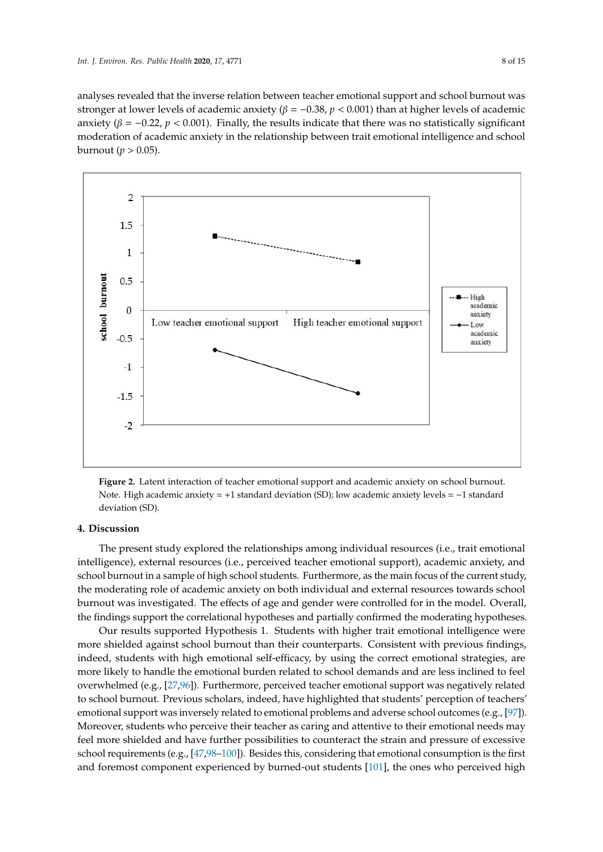analyses revealed that the inverse relation between teacher emotional support and school burnout was stronger at lower levels of academic anxiety (β = −0.38, *p* < 0.001) than at higher levels of academic anxiety ( $\beta = -0.22$ ,  $p < 0.001$ ). Finally, the results indicate that there was no statistically significant moderation of academic anxiety in the relationship between trait emotional intelligence and school burnout ( $p > 0.05$ ).

<span id="page-7-0"></span>

**Figure 2.** Latent interaction of teacher emotional support and academic anxiety on school burnout. **Figure 2.** Latent interaction of teacher emotional support and academic anxiety on school burnout. Note. High academic anxiety = +1 standard deviation (SD); low academic anxiety levels = −1 standard Note. High academic anxiety = +1 standard deviation (SD); low academic anxiety levels = −1 standard deviation (SD). deviation (SD).

# **4. Discussion 4. Discussion**

The present study explored the relationships among individual resources (i.e., trait emotional The present study explored the relationships among individual resources (i.e., trait emotional intelligence), external resources (i.e., perceived teacher emotional support), academic anxiety, and intelligence), external resources (i.e., perceived teacher emotional support), academic anxiety, and school burnout in a sample of high school students. Furthermore, as the main focus of the current study, school burnout in a sample of high school students. Furthermore, as the main focus of the current study, the moderating role of academic anxiety on both individual and external resources towards school the moderating role of academic anxiety on both individual and external resources towards school burnout was investigated. The effects of age and gender were controlled for in the model. Overall, findings support the correlational hypotheses and partially confirmed the moderating hypotheses. the findings support the correlational hypotheses and partially confirmed the moderating hypotheses.

Our results supported Hypothesis 1. Students with higher trait emotional intelligence were more shielded against school burnout than their counterparts. Consistent with previous findings, indeed, students with high emotional self-efficacy, by using the correct emotional strategies, are more likely to handle the emotional burden related to school demands and are less inclined to feel overwhelmed (e.g., [27,96]). Furt[her](#page-10-14)[mo](#page-13-16)re, perceived teacher emotional support was negatively related to school burnout. Previous scholars, indeed, have highlighted that students' perception of teachers' emotional support was inversely related to emotional problems and adverse school outcomes (e.g., [9[7\]\).](#page-13-17) Moreover, students who perceive their teacher as caring and attentive to their emotional needs may Moreover, students who perceive their teacher as caring and attentive to their emotional needs may feel more shielded and have further possibilities to counteract the strain and pressure of excessive feel more shielded and have further possibilities to counteract the strain and pressure of excessive school requirements (e.g[., \[4](#page-11-18)[7,9](#page-13-18)8-100]). Besides this, considering that emotional consumption is the first and foremost component experienced by burned-out students [\[101\]](#page-13-20), the ones who perceived high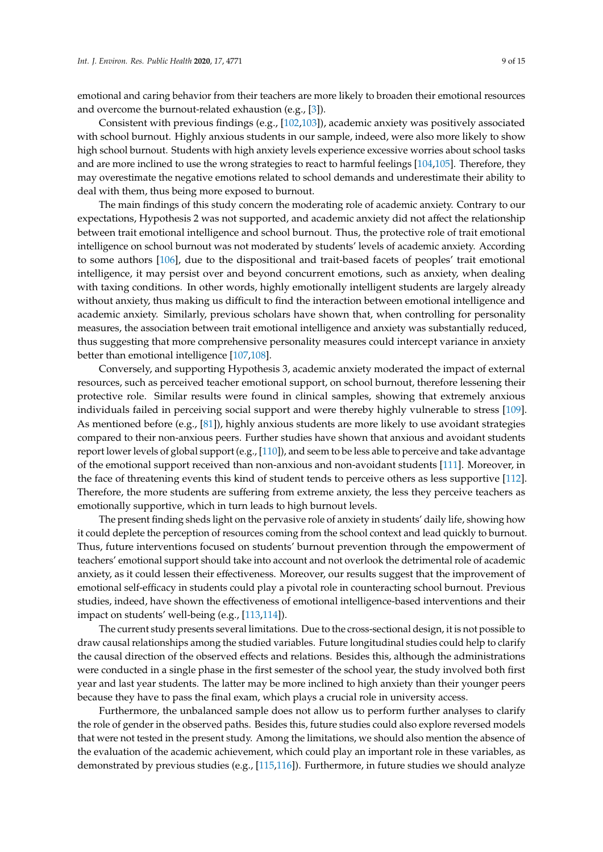emotional and caring behavior from their teachers are more likely to broaden their emotional resources and overcome the burnout-related exhaustion (e.g., [\[3\]](#page-9-2)).

Consistent with previous findings (e.g., [\[102](#page-13-21)[,103\]](#page-13-22)), academic anxiety was positively associated with school burnout. Highly anxious students in our sample, indeed, were also more likely to show high school burnout. Students with high anxiety levels experience excessive worries about school tasks and are more inclined to use the wrong strategies to react to harmful feelings [\[104,](#page-14-0)[105\]](#page-14-1). Therefore, they may overestimate the negative emotions related to school demands and underestimate their ability to deal with them, thus being more exposed to burnout.

The main findings of this study concern the moderating role of academic anxiety. Contrary to our expectations, Hypothesis 2 was not supported, and academic anxiety did not affect the relationship between trait emotional intelligence and school burnout. Thus, the protective role of trait emotional intelligence on school burnout was not moderated by students' levels of academic anxiety. According to some authors [\[106\]](#page-14-2), due to the dispositional and trait-based facets of peoples' trait emotional intelligence, it may persist over and beyond concurrent emotions, such as anxiety, when dealing with taxing conditions. In other words, highly emotionally intelligent students are largely already without anxiety, thus making us difficult to find the interaction between emotional intelligence and academic anxiety. Similarly, previous scholars have shown that, when controlling for personality measures, the association between trait emotional intelligence and anxiety was substantially reduced, thus suggesting that more comprehensive personality measures could intercept variance in anxiety better than emotional intelligence [\[107,](#page-14-3)[108\]](#page-14-4).

Conversely, and supporting Hypothesis 3, academic anxiety moderated the impact of external resources, such as perceived teacher emotional support, on school burnout, therefore lessening their protective role. Similar results were found in clinical samples, showing that extremely anxious individuals failed in perceiving social support and were thereby highly vulnerable to stress [\[109\]](#page-14-5). As mentioned before (e.g., [\[81\]](#page-13-1)), highly anxious students are more likely to use avoidant strategies compared to their non-anxious peers. Further studies have shown that anxious and avoidant students report lower levels of global support (e.g., [\[110\]](#page-14-6)), and seem to be less able to perceive and take advantage of the emotional support received than non-anxious and non-avoidant students [\[111\]](#page-14-7). Moreover, in the face of threatening events this kind of student tends to perceive others as less supportive [\[112\]](#page-14-8). Therefore, the more students are suffering from extreme anxiety, the less they perceive teachers as emotionally supportive, which in turn leads to high burnout levels.

The present finding sheds light on the pervasive role of anxiety in students' daily life, showing how it could deplete the perception of resources coming from the school context and lead quickly to burnout. Thus, future interventions focused on students' burnout prevention through the empowerment of teachers' emotional support should take into account and not overlook the detrimental role of academic anxiety, as it could lessen their effectiveness. Moreover, our results suggest that the improvement of emotional self-efficacy in students could play a pivotal role in counteracting school burnout. Previous studies, indeed, have shown the effectiveness of emotional intelligence-based interventions and their impact on students' well-being (e.g., [\[113,](#page-14-9)[114\]](#page-14-10)).

The current study presents several limitations. Due to the cross-sectional design, it is not possible to draw causal relationships among the studied variables. Future longitudinal studies could help to clarify the causal direction of the observed effects and relations. Besides this, although the administrations were conducted in a single phase in the first semester of the school year, the study involved both first year and last year students. The latter may be more inclined to high anxiety than their younger peers because they have to pass the final exam, which plays a crucial role in university access.

Furthermore, the unbalanced sample does not allow us to perform further analyses to clarify the role of gender in the observed paths. Besides this, future studies could also explore reversed models that were not tested in the present study. Among the limitations, we should also mention the absence of the evaluation of the academic achievement, which could play an important role in these variables, as demonstrated by previous studies (e.g., [\[115](#page-14-11)[,116\]](#page-14-12)). Furthermore, in future studies we should analyze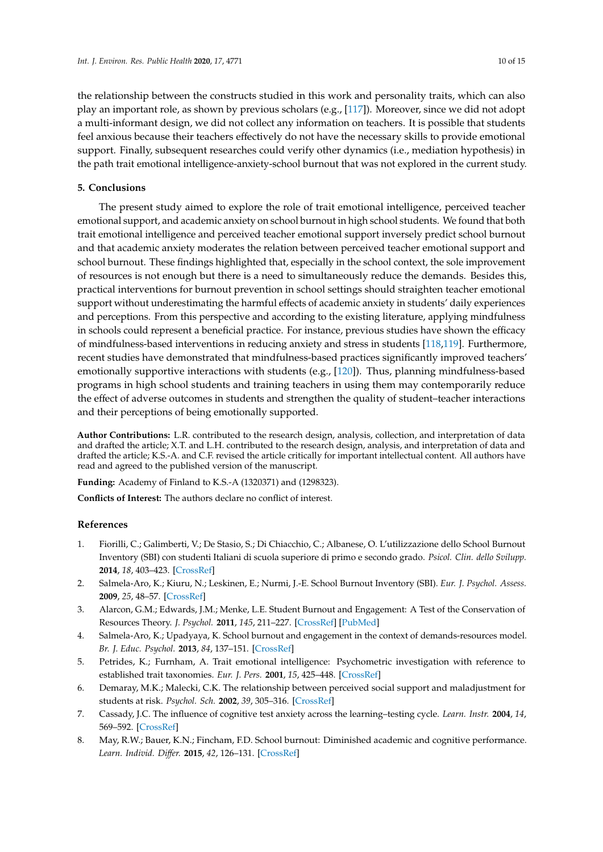the relationship between the constructs studied in this work and personality traits, which can also play an important role, as shown by previous scholars (e.g., [\[117\]](#page-14-13)). Moreover, since we did not adopt a multi-informant design, we did not collect any information on teachers. It is possible that students feel anxious because their teachers effectively do not have the necessary skills to provide emotional support. Finally, subsequent researches could verify other dynamics (i.e., mediation hypothesis) in the path trait emotional intelligence-anxiety-school burnout that was not explored in the current study.

## **5. Conclusions**

The present study aimed to explore the role of trait emotional intelligence, perceived teacher emotional support, and academic anxiety on school burnout in high school students. We found that both trait emotional intelligence and perceived teacher emotional support inversely predict school burnout and that academic anxiety moderates the relation between perceived teacher emotional support and school burnout. These findings highlighted that, especially in the school context, the sole improvement of resources is not enough but there is a need to simultaneously reduce the demands. Besides this, practical interventions for burnout prevention in school settings should straighten teacher emotional support without underestimating the harmful effects of academic anxiety in students' daily experiences and perceptions. From this perspective and according to the existing literature, applying mindfulness in schools could represent a beneficial practice. For instance, previous studies have shown the efficacy of mindfulness-based interventions in reducing anxiety and stress in students [\[118](#page-14-14)[,119\]](#page-14-15). Furthermore, recent studies have demonstrated that mindfulness-based practices significantly improved teachers' emotionally supportive interactions with students (e.g., [\[120\]](#page-14-16)). Thus, planning mindfulness-based programs in high school students and training teachers in using them may contemporarily reduce the effect of adverse outcomes in students and strengthen the quality of student–teacher interactions and their perceptions of being emotionally supported.

**Author Contributions:** L.R. contributed to the research design, analysis, collection, and interpretation of data and drafted the article; X.T. and L.H. contributed to the research design, analysis, and interpretation of data and drafted the article; K.S.-A. and C.F. revised the article critically for important intellectual content. All authors have read and agreed to the published version of the manuscript.

**Funding:** Academy of Finland to K.S.-A (1320371) and (1298323).

**Conflicts of Interest:** The authors declare no conflict of interest.

#### **References**

- <span id="page-9-0"></span>1. Fiorilli, C.; Galimberti, V.; De Stasio, S.; Di Chiacchio, C.; Albanese, O. L'utilizzazione dello School Burnout Inventory (SBI) con studenti Italiani di scuola superiore di primo e secondo grado. *Psicol. Clin. dello Svilupp.* **2014**, *18*, 403–423. [\[CrossRef\]](http://dx.doi.org/10.1449/78365)
- <span id="page-9-1"></span>2. Salmela-Aro, K.; Kiuru, N.; Leskinen, E.; Nurmi, J.-E. School Burnout Inventory (SBI). *Eur. J. Psychol. Assess.* **2009**, *25*, 48–57. [\[CrossRef\]](http://dx.doi.org/10.1027/1015-5759.25.1.48)
- <span id="page-9-2"></span>3. Alarcon, G.M.; Edwards, J.M.; Menke, L.E. Student Burnout and Engagement: A Test of the Conservation of Resources Theory. *J. Psychol.* **2011**, *145*, 211–227. [\[CrossRef\]](http://dx.doi.org/10.1080/00223980.2011.555432) [\[PubMed\]](http://www.ncbi.nlm.nih.gov/pubmed/21560805)
- <span id="page-9-3"></span>4. Salmela-Aro, K.; Upadyaya, K. School burnout and engagement in the context of demands-resources model. *Br. J. Educ. Psychol.* **2013**, *84*, 137–151. [\[CrossRef\]](http://dx.doi.org/10.1111/bjep.12018)
- <span id="page-9-4"></span>5. Petrides, K.; Furnham, A. Trait emotional intelligence: Psychometric investigation with reference to established trait taxonomies. *Eur. J. Pers.* **2001**, *15*, 425–448. [\[CrossRef\]](http://dx.doi.org/10.1002/per.416)
- <span id="page-9-5"></span>6. Demaray, M.K.; Malecki, C.K. The relationship between perceived social support and maladjustment for students at risk. *Psychol. Sch.* **2002**, *39*, 305–316. [\[CrossRef\]](http://dx.doi.org/10.1002/pits.10018)
- <span id="page-9-6"></span>7. Cassady, J.C. The influence of cognitive test anxiety across the learning–testing cycle. *Learn. Instr.* **2004**, *14*, 569–592. [\[CrossRef\]](http://dx.doi.org/10.1016/j.learninstruc.2004.09.002)
- <span id="page-9-7"></span>8. May, R.W.; Bauer, K.N.; Fincham, F.D. School burnout: Diminished academic and cognitive performance. *Learn. Individ. Di*ff*er.* **2015**, *42*, 126–131. [\[CrossRef\]](http://dx.doi.org/10.1016/j.lindif.2015.07.015)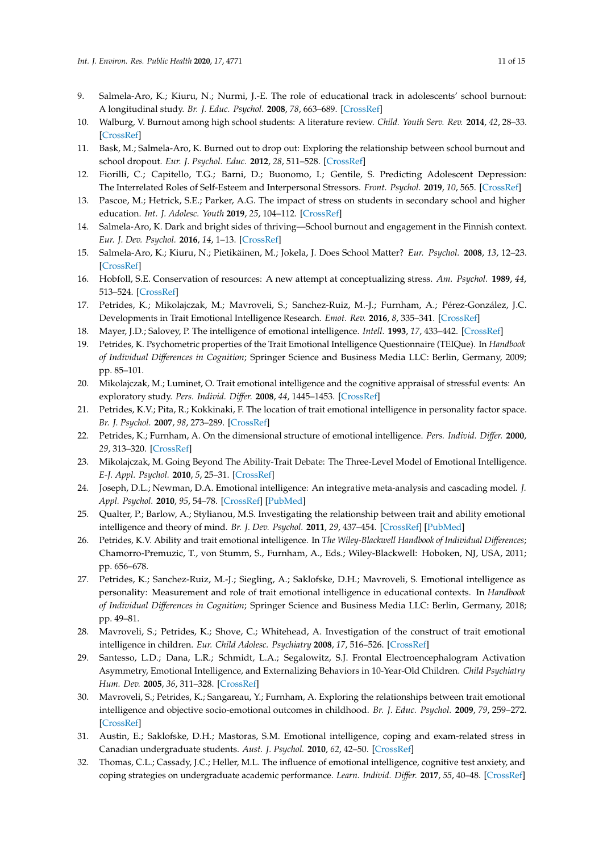- <span id="page-10-0"></span>9. Salmela-Aro, K.; Kiuru, N.; Nurmi, J.-E. The role of educational track in adolescents' school burnout: A longitudinal study. *Br. J. Educ. Psychol.* **2008**, *78*, 663–689. [\[CrossRef\]](http://dx.doi.org/10.1348/000709908X281628)
- <span id="page-10-1"></span>10. Walburg, V. Burnout among high school students: A literature review. *Child. Youth Serv. Rev.* **2014**, *42*, 28–33. [\[CrossRef\]](http://dx.doi.org/10.1016/j.childyouth.2014.03.020)
- <span id="page-10-2"></span>11. Bask, M.; Salmela-Aro, K. Burned out to drop out: Exploring the relationship between school burnout and school dropout. *Eur. J. Psychol. Educ.* **2012**, *28*, 511–528. [\[CrossRef\]](http://dx.doi.org/10.1007/s10212-012-0126-5)
- 12. Fiorilli, C.; Capitello, T.G.; Barni, D.; Buonomo, I.; Gentile, S. Predicting Adolescent Depression: The Interrelated Roles of Self-Esteem and Interpersonal Stressors. *Front. Psychol.* **2019**, *10*, 565. [\[CrossRef\]](http://dx.doi.org/10.3389/fpsyg.2019.00565)
- 13. Pascoe, M.; Hetrick, S.E.; Parker, A.G. The impact of stress on students in secondary school and higher education. *Int. J. Adolesc. Youth* **2019**, *25*, 104–112. [\[CrossRef\]](http://dx.doi.org/10.1080/02673843.2019.1596823)
- 14. Salmela-Aro, K. Dark and bright sides of thriving—School burnout and engagement in the Finnish context. *Eur. J. Dev. Psychol.* **2016**, *14*, 1–13. [\[CrossRef\]](http://dx.doi.org/10.1080/17405629.2016.1207517)
- <span id="page-10-3"></span>15. Salmela-Aro, K.; Kiuru, N.; Pietikäinen, M.; Jokela, J. Does School Matter? *Eur. Psychol.* **2008**, *13*, 12–23. [\[CrossRef\]](http://dx.doi.org/10.1027/1016-9040.13.1.12)
- <span id="page-10-4"></span>16. Hobfoll, S.E. Conservation of resources: A new attempt at conceptualizing stress. *Am. Psychol.* **1989**, *44*, 513–524. [\[CrossRef\]](http://dx.doi.org/10.1037/0003-066X.44.3.513)
- <span id="page-10-5"></span>17. Petrides, K.; Mikolajczak, M.; Mavroveli, S.; Sanchez-Ruiz, M.-J.; Furnham, A.; Pérez-González, J.C. Developments in Trait Emotional Intelligence Research. *Emot. Rev.* **2016**, *8*, 335–341. [\[CrossRef\]](http://dx.doi.org/10.1177/1754073916650493)
- <span id="page-10-6"></span>18. Mayer, J.D.; Salovey, P. The intelligence of emotional intelligence. *Intell.* **1993**, *17*, 433–442. [\[CrossRef\]](http://dx.doi.org/10.1016/0160-2896(93)90010-3)
- <span id="page-10-7"></span>19. Petrides, K. Psychometric properties of the Trait Emotional Intelligence Questionnaire (TEIQue). In *Handbook of Individual Di*ff*erences in Cognition*; Springer Science and Business Media LLC: Berlin, Germany, 2009; pp. 85–101.
- <span id="page-10-8"></span>20. Mikolajczak, M.; Luminet, O. Trait emotional intelligence and the cognitive appraisal of stressful events: An exploratory study. *Pers. Individ. Di*ff*er.* **2008**, *44*, 1445–1453. [\[CrossRef\]](http://dx.doi.org/10.1016/j.paid.2007.12.012)
- <span id="page-10-9"></span>21. Petrides, K.V.; Pita, R.; Kokkinaki, F. The location of trait emotional intelligence in personality factor space. *Br. J. Psychol.* **2007**, *98*, 273–289. [\[CrossRef\]](http://dx.doi.org/10.1348/000712606X120618)
- <span id="page-10-10"></span>22. Petrides, K.; Furnham, A. On the dimensional structure of emotional intelligence. *Pers. Individ. Di*ff*er.* **2000**, *29*, 313–320. [\[CrossRef\]](http://dx.doi.org/10.1016/S0191-8869(99)00195-6)
- <span id="page-10-11"></span>23. Mikolajczak, M. Going Beyond The Ability-Trait Debate: The Three-Level Model of Emotional Intelligence. *E-J. Appl. Psychol.* **2010**, *5*, 25–31. [\[CrossRef\]](http://dx.doi.org/10.7790/ejap.v5i2.175)
- <span id="page-10-12"></span>24. Joseph, D.L.; Newman, D.A. Emotional intelligence: An integrative meta-analysis and cascading model. *J. Appl. Psychol.* **2010**, *95*, 54–78. [\[CrossRef\]](http://dx.doi.org/10.1037/a0017286) [\[PubMed\]](http://www.ncbi.nlm.nih.gov/pubmed/20085406)
- 25. Qualter, P.; Barlow, A.; Stylianou, M.S. Investigating the relationship between trait and ability emotional intelligence and theory of mind. *Br. J. Dev. Psychol.* **2011**, *29*, 437–454. [\[CrossRef\]](http://dx.doi.org/10.1348/026151010X502999) [\[PubMed\]](http://www.ncbi.nlm.nih.gov/pubmed/21848740)
- <span id="page-10-13"></span>26. Petrides, K.V. Ability and trait emotional intelligence. In *The Wiley-Blackwell Handbook of Individual Di*ff*erences*; Chamorro-Premuzic, T., von Stumm, S., Furnham, A., Eds.; Wiley-Blackwell: Hoboken, NJ, USA, 2011; pp. 656–678.
- <span id="page-10-14"></span>27. Petrides, K.; Sanchez-Ruiz, M.-J.; Siegling, A.; Saklofske, D.H.; Mavroveli, S. Emotional intelligence as personality: Measurement and role of trait emotional intelligence in educational contexts. In *Handbook of Individual Di*ff*erences in Cognition*; Springer Science and Business Media LLC: Berlin, Germany, 2018; pp. 49–81.
- <span id="page-10-15"></span>28. Mavroveli, S.; Petrides, K.; Shove, C.; Whitehead, A. Investigation of the construct of trait emotional intelligence in children. *Eur. Child Adolesc. Psychiatry* **2008**, *17*, 516–526. [\[CrossRef\]](http://dx.doi.org/10.1007/s00787-008-0696-6)
- 29. Santesso, L.D.; Dana, L.R.; Schmidt, L.A.; Segalowitz, S.J. Frontal Electroencephalogram Activation Asymmetry, Emotional Intelligence, and Externalizing Behaviors in 10-Year-Old Children. *Child Psychiatry Hum. Dev.* **2005**, *36*, 311–328. [\[CrossRef\]](http://dx.doi.org/10.1007/s10578-005-0005-2)
- <span id="page-10-16"></span>30. Mavroveli, S.; Petrides, K.; Sangareau, Y.; Furnham, A. Exploring the relationships between trait emotional intelligence and objective socio-emotional outcomes in childhood. *Br. J. Educ. Psychol.* **2009**, *79*, 259–272. [\[CrossRef\]](http://dx.doi.org/10.1348/000709908X368848)
- <span id="page-10-17"></span>31. Austin, E.; Saklofske, D.H.; Mastoras, S.M. Emotional intelligence, coping and exam-related stress in Canadian undergraduate students. *Aust. J. Psychol.* **2010**, *62*, 42–50. [\[CrossRef\]](http://dx.doi.org/10.1080/00049530903312899)
- <span id="page-10-18"></span>32. Thomas, C.L.; Cassady, J.C.; Heller, M.L. The influence of emotional intelligence, cognitive test anxiety, and coping strategies on undergraduate academic performance. *Learn. Individ. Di*ff*er.* **2017**, *55*, 40–48. [\[CrossRef\]](http://dx.doi.org/10.1016/j.lindif.2017.03.001)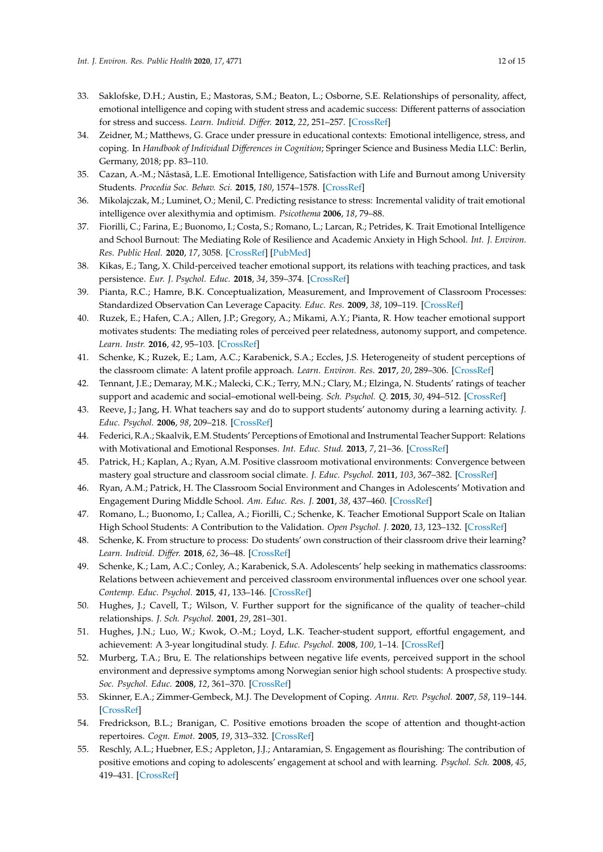- <span id="page-11-0"></span>33. Saklofske, D.H.; Austin, E.; Mastoras, S.M.; Beaton, L.; Osborne, S.E. Relationships of personality, affect, emotional intelligence and coping with student stress and academic success: Different patterns of association for stress and success. *Learn. Individ. Di*ff*er.* **2012**, *22*, 251–257. [\[CrossRef\]](http://dx.doi.org/10.1016/j.lindif.2011.02.010)
- <span id="page-11-1"></span>34. Zeidner, M.; Matthews, G. Grace under pressure in educational contexts: Emotional intelligence, stress, and coping. In *Handbook of Individual Di*ff*erences in Cognition*; Springer Science and Business Media LLC: Berlin, Germany, 2018; pp. 83–110.
- <span id="page-11-2"></span>35. Cazan, A.-M.; Năstasă, L.E. Emotional Intelligence, Satisfaction with Life and Burnout among University Students. *Procedia Soc. Behav. Sci.* **2015**, *180*, 1574–1578. [\[CrossRef\]](http://dx.doi.org/10.1016/j.sbspro.2015.02.309)
- <span id="page-11-3"></span>36. Mikolajczak, M.; Luminet, O.; Menil, C. Predicting resistance to stress: Incremental validity of trait emotional intelligence over alexithymia and optimism. *Psicothema* **2006**, *18*, 79–88.
- <span id="page-11-4"></span>37. Fiorilli, C.; Farina, E.; Buonomo, I.; Costa, S.; Romano, L.; Larcan, R.; Petrides, K. Trait Emotional Intelligence and School Burnout: The Mediating Role of Resilience and Academic Anxiety in High School. *Int. J. Environ. Res. Public Heal.* **2020**, *17*, 3058. [\[CrossRef\]](http://dx.doi.org/10.3390/ijerph17093058) [\[PubMed\]](http://www.ncbi.nlm.nih.gov/pubmed/32354010)
- <span id="page-11-5"></span>38. Kikas, E.; Tang, X. Child-perceived teacher emotional support, its relations with teaching practices, and task persistence. *Eur. J. Psychol. Educ.* **2018**, *34*, 359–374. [\[CrossRef\]](http://dx.doi.org/10.1007/s10212-018-0392-y)
- <span id="page-11-10"></span>39. Pianta, R.C.; Hamre, B.K. Conceptualization, Measurement, and Improvement of Classroom Processes: Standardized Observation Can Leverage Capacity. *Educ. Res.* **2009**, *38*, 109–119. [\[CrossRef\]](http://dx.doi.org/10.3102/0013189X09332374)
- 40. Ruzek, E.; Hafen, C.A.; Allen, J.P.; Gregory, A.; Mikami, A.Y.; Pianta, R. How teacher emotional support motivates students: The mediating roles of perceived peer relatedness, autonomy support, and competence. *Learn. Instr.* **2016**, *42*, 95–103. [\[CrossRef\]](http://dx.doi.org/10.1016/j.learninstruc.2016.01.004)
- 41. Schenke, K.; Ruzek, E.; Lam, A.C.; Karabenick, S.A.; Eccles, J.S. Heterogeneity of student perceptions of the classroom climate: A latent profile approach. *Learn. Environ. Res.* **2017**, *20*, 289–306. [\[CrossRef\]](http://dx.doi.org/10.1007/s10984-017-9235-z)
- <span id="page-11-6"></span>42. Tennant, J.E.; Demaray, M.K.; Malecki, C.K.; Terry, M.N.; Clary, M.; Elzinga, N. Students' ratings of teacher support and academic and social–emotional well-being. *Sch. Psychol. Q.* **2015**, *30*, 494–512. [\[CrossRef\]](http://dx.doi.org/10.1037/spq0000106)
- <span id="page-11-7"></span>43. Reeve, J.; Jang, H. What teachers say and do to support students' autonomy during a learning activity. *J. Educ. Psychol.* **2006**, *98*, 209–218. [\[CrossRef\]](http://dx.doi.org/10.1037/0022-0663.98.1.209)
- <span id="page-11-8"></span>44. Federici, R.A.; Skaalvik, E.M. Students' Perceptions of Emotional and Instrumental Teacher Support: Relations with Motivational and Emotional Responses. *Int. Educ. Stud.* **2013**, *7*, 21–36. [\[CrossRef\]](http://dx.doi.org/10.5539/ies.v7n1p21)
- 45. Patrick, H.; Kaplan, A.; Ryan, A.M. Positive classroom motivational environments: Convergence between mastery goal structure and classroom social climate. *J. Educ. Psychol.* **2011**, *103*, 367–382. [\[CrossRef\]](http://dx.doi.org/10.1037/a0023311)
- <span id="page-11-9"></span>46. Ryan, A.M.; Patrick, H. The Classroom Social Environment and Changes in Adolescents' Motivation and Engagement During Middle School. *Am. Educ. Res. J.* **2001**, *38*, 437–460. [\[CrossRef\]](http://dx.doi.org/10.3102/00028312038002437)
- <span id="page-11-18"></span>47. Romano, L.; Buonomo, I.; Callea, A.; Fiorilli, C.; Schenke, K. Teacher Emotional Support Scale on Italian High School Students: A Contribution to the Validation. *Open Psychol. J.* **2020**, *13*, 123–132. [\[CrossRef\]](http://dx.doi.org/10.2174/1874350102013010123)
- 48. Schenke, K. From structure to process: Do students' own construction of their classroom drive their learning? *Learn. Individ. Di*ff*er.* **2018**, *62*, 36–48. [\[CrossRef\]](http://dx.doi.org/10.1016/j.lindif.2018.01.006)
- <span id="page-11-11"></span>49. Schenke, K.; Lam, A.C.; Conley, A.; Karabenick, S.A. Adolescents' help seeking in mathematics classrooms: Relations between achievement and perceived classroom environmental influences over one school year. *Contemp. Educ. Psychol.* **2015**, *41*, 133–146. [\[CrossRef\]](http://dx.doi.org/10.1016/j.cedpsych.2015.01.003)
- <span id="page-11-12"></span>50. Hughes, J.; Cavell, T.; Wilson, V. Further support for the significance of the quality of teacher–child relationships. *J. Sch. Psychol.* **2001**, *29*, 281–301.
- <span id="page-11-13"></span>51. Hughes, J.N.; Luo, W.; Kwok, O.-M.; Loyd, L.K. Teacher-student support, effortful engagement, and achievement: A 3-year longitudinal study. *J. Educ. Psychol.* **2008**, *100*, 1–14. [\[CrossRef\]](http://dx.doi.org/10.1037/0022-0663.100.1.1)
- <span id="page-11-14"></span>52. Murberg, T.A.; Bru, E. The relationships between negative life events, perceived support in the school environment and depressive symptoms among Norwegian senior high school students: A prospective study. *Soc. Psychol. Educ.* **2008**, *12*, 361–370. [\[CrossRef\]](http://dx.doi.org/10.1007/s11218-008-9083-x)
- <span id="page-11-15"></span>53. Skinner, E.A.; Zimmer-Gembeck, M.J. The Development of Coping. *Annu. Rev. Psychol.* **2007**, *58*, 119–144. [\[CrossRef\]](http://dx.doi.org/10.1146/annurev.psych.58.110405.085705)
- <span id="page-11-16"></span>54. Fredrickson, B.L.; Branigan, C. Positive emotions broaden the scope of attention and thought-action repertoires. *Cogn. Emot.* **2005**, *19*, 313–332. [\[CrossRef\]](http://dx.doi.org/10.1080/02699930441000238)
- <span id="page-11-17"></span>55. Reschly, A.L.; Huebner, E.S.; Appleton, J.J.; Antaramian, S. Engagement as flourishing: The contribution of positive emotions and coping to adolescents' engagement at school and with learning. *Psychol. Sch.* **2008**, *45*, 419–431. [\[CrossRef\]](http://dx.doi.org/10.1002/pits.20306)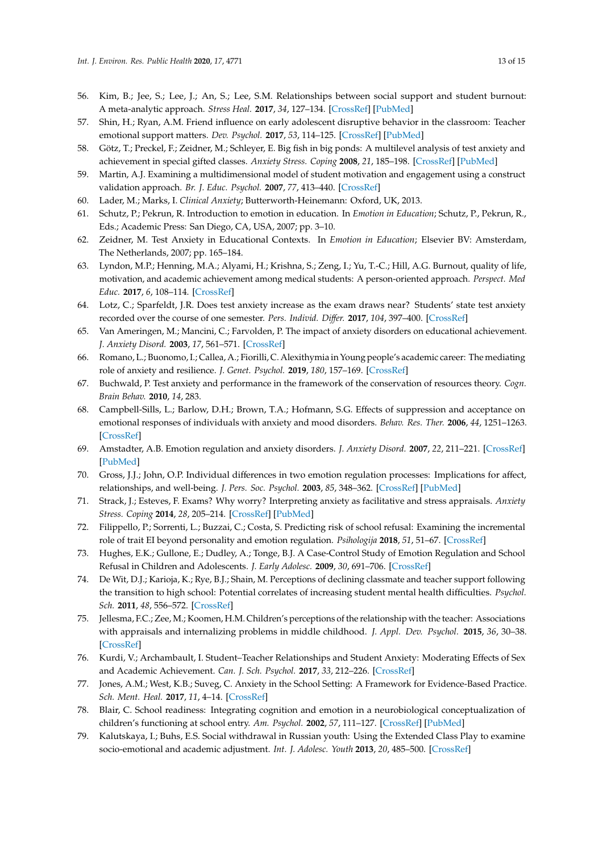- <span id="page-12-0"></span>56. Kim, B.; Jee, S.; Lee, J.; An, S.; Lee, S.M. Relationships between social support and student burnout: A meta-analytic approach. *Stress Heal.* **2017**, *34*, 127–134. [\[CrossRef\]](http://dx.doi.org/10.1002/smi.2771) [\[PubMed\]](http://www.ncbi.nlm.nih.gov/pubmed/28639354)
- <span id="page-12-1"></span>57. Shin, H.; Ryan, A.M. Friend influence on early adolescent disruptive behavior in the classroom: Teacher emotional support matters. *Dev. Psychol.* **2017**, *53*, 114–125. [\[CrossRef\]](http://dx.doi.org/10.1037/dev0000250) [\[PubMed\]](http://www.ncbi.nlm.nih.gov/pubmed/27854462)
- <span id="page-12-2"></span>58. Götz, T.; Preckel, F.; Zeidner, M.; Schleyer, E. Big fish in big ponds: A multilevel analysis of test anxiety and achievement in special gifted classes. *Anxiety Stress. Coping* **2008**, *21*, 185–198. [\[CrossRef\]](http://dx.doi.org/10.1080/10615800701628827) [\[PubMed\]](http://www.ncbi.nlm.nih.gov/pubmed/18350396)
- <span id="page-12-3"></span>59. Martin, A.J. Examining a multidimensional model of student motivation and engagement using a construct validation approach. *Br. J. Educ. Psychol.* **2007**, *77*, 413–440. [\[CrossRef\]](http://dx.doi.org/10.1348/000709906X118036)
- <span id="page-12-4"></span>60. Lader, M.; Marks, I. *Clinical Anxiety*; Butterworth-Heinemann: Oxford, UK, 2013.
- 61. Schutz, P.; Pekrun, R. Introduction to emotion in education. In *Emotion in Education*; Schutz, P., Pekrun, R., Eds.; Academic Press: San Diego, CA, USA, 2007; pp. 3–10.
- <span id="page-12-5"></span>62. Zeidner, M. Test Anxiety in Educational Contexts. In *Emotion in Education*; Elsevier BV: Amsterdam, The Netherlands, 2007; pp. 165–184.
- <span id="page-12-6"></span>63. Lyndon, M.P.; Henning, M.A.; Alyami, H.; Krishna, S.; Zeng, I.; Yu, T.-C.; Hill, A.G. Burnout, quality of life, motivation, and academic achievement among medical students: A person-oriented approach. *Perspect. Med Educ.* **2017**, *6*, 108–114. [\[CrossRef\]](http://dx.doi.org/10.1007/s40037-017-0340-6)
- 64. Lotz, C.; Sparfeldt, J.R. Does test anxiety increase as the exam draws near? Students' state test anxiety recorded over the course of one semester. *Pers. Individ. Di*ff*er.* **2017**, *104*, 397–400. [\[CrossRef\]](http://dx.doi.org/10.1016/j.paid.2016.08.032)
- <span id="page-12-7"></span>65. Van Ameringen, M.; Mancini, C.; Farvolden, P. The impact of anxiety disorders on educational achievement. *J. Anxiety Disord.* **2003**, *17*, 561–571. [\[CrossRef\]](http://dx.doi.org/10.1016/S0887-6185(02)00228-1)
- <span id="page-12-8"></span>66. Romano, L.; Buonomo, I.; Callea, A.; Fiorilli, C. Alexithymia in Young people's academic career: The mediating role of anxiety and resilience. *J. Genet. Psychol.* **2019**, *180*, 157–169. [\[CrossRef\]](http://dx.doi.org/10.1080/00221325.2019.1620675)
- <span id="page-12-9"></span>67. Buchwald, P. Test anxiety and performance in the framework of the conservation of resources theory. *Cogn. Brain Behav.* **2010**, *14*, 283.
- <span id="page-12-10"></span>68. Campbell-Sills, L.; Barlow, D.H.; Brown, T.A.; Hofmann, S.G. Effects of suppression and acceptance on emotional responses of individuals with anxiety and mood disorders. *Behav. Res. Ther.* **2006**, *44*, 1251–1263. [\[CrossRef\]](http://dx.doi.org/10.1016/j.brat.2005.10.001)
- <span id="page-12-11"></span>69. Amstadter, A.B. Emotion regulation and anxiety disorders. *J. Anxiety Disord.* **2007**, *22*, 211–221. [\[CrossRef\]](http://dx.doi.org/10.1016/j.janxdis.2007.02.004) [\[PubMed\]](http://www.ncbi.nlm.nih.gov/pubmed/17349775)
- 70. Gross, J.J.; John, O.P. Individual differences in two emotion regulation processes: Implications for affect, relationships, and well-being. *J. Pers. Soc. Psychol.* **2003**, *85*, 348–362. [\[CrossRef\]](http://dx.doi.org/10.1037/0022-3514.85.2.348) [\[PubMed\]](http://www.ncbi.nlm.nih.gov/pubmed/12916575)
- <span id="page-12-12"></span>71. Strack, J.; Esteves, F. Exams? Why worry? Interpreting anxiety as facilitative and stress appraisals. *Anxiety Stress. Coping* **2014**, *28*, 205–214. [\[CrossRef\]](http://dx.doi.org/10.1080/10615806.2014.931942) [\[PubMed\]](http://www.ncbi.nlm.nih.gov/pubmed/24902852)
- <span id="page-12-13"></span>72. Filippello, P.; Sorrenti, L.; Buzzai, C.; Costa, S. Predicting risk of school refusal: Examining the incremental role of trait EI beyond personality and emotion regulation. *Psihologija* **2018**, *51*, 51–67. [\[CrossRef\]](http://dx.doi.org/10.2298/PSI170526013F)
- <span id="page-12-14"></span>73. Hughes, E.K.; Gullone, E.; Dudley, A.; Tonge, B.J. A Case-Control Study of Emotion Regulation and School Refusal in Children and Adolescents. *J. Early Adolesc.* **2009**, *30*, 691–706. [\[CrossRef\]](http://dx.doi.org/10.1177/0272431609341049)
- <span id="page-12-15"></span>74. De Wit, D.J.; Karioja, K.; Rye, B.J.; Shain, M. Perceptions of declining classmate and teacher support following the transition to high school: Potential correlates of increasing student mental health difficulties. *Psychol. Sch.* **2011**, *48*, 556–572. [\[CrossRef\]](http://dx.doi.org/10.1002/pits.20576)
- 75. Jellesma, F.C.; Zee, M.; Koomen, H.M. Children's perceptions of the relationship with the teacher: Associations with appraisals and internalizing problems in middle childhood. *J. Appl. Dev. Psychol.* **2015**, *36*, 30–38. [\[CrossRef\]](http://dx.doi.org/10.1016/j.appdev.2014.09.002)
- <span id="page-12-16"></span>76. Kurdi, V.; Archambault, I. Student–Teacher Relationships and Student Anxiety: Moderating Effects of Sex and Academic Achievement. *Can. J. Sch. Psychol.* **2017**, *33*, 212–226. [\[CrossRef\]](http://dx.doi.org/10.1177/0829573517707906)
- <span id="page-12-17"></span>77. Jones, A.M.; West, K.B.; Suveg, C. Anxiety in the School Setting: A Framework for Evidence-Based Practice. *Sch. Ment. Heal.* **2017**, *11*, 4–14. [\[CrossRef\]](http://dx.doi.org/10.1007/s12310-017-9235-2)
- <span id="page-12-18"></span>78. Blair, C. School readiness: Integrating cognition and emotion in a neurobiological conceptualization of children's functioning at school entry. *Am. Psychol.* **2002**, *57*, 111–127. [\[CrossRef\]](http://dx.doi.org/10.1037/0003-066X.57.2.111) [\[PubMed\]](http://www.ncbi.nlm.nih.gov/pubmed/11899554)
- <span id="page-12-19"></span>79. Kalutskaya, I.; Buhs, E.S. Social withdrawal in Russian youth: Using the Extended Class Play to examine socio-emotional and academic adjustment. *Int. J. Adolesc. Youth* **2013**, *20*, 485–500. [\[CrossRef\]](http://dx.doi.org/10.1080/02673843.2013.806270)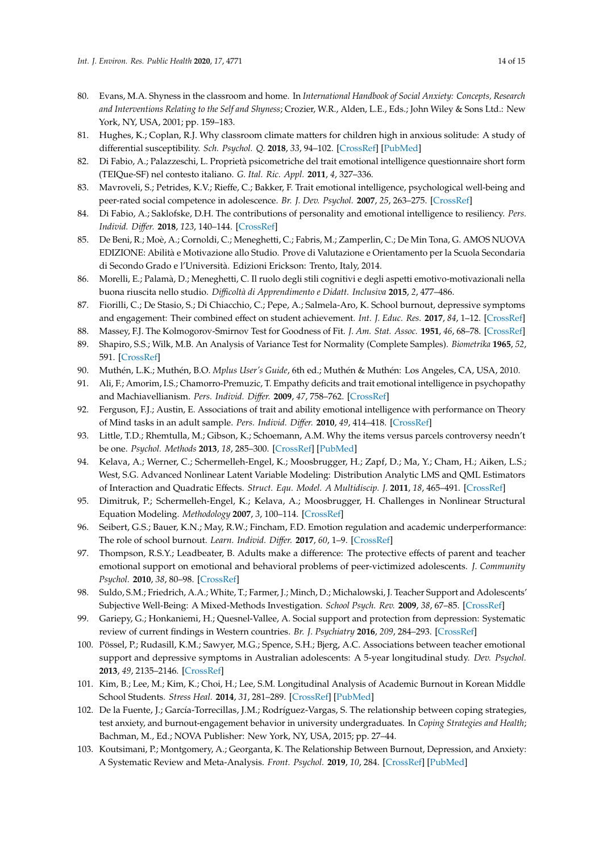- <span id="page-13-0"></span>80. Evans, M.A. Shyness in the classroom and home. In *International Handbook of Social Anxiety: Concepts, Research and Interventions Relating to the Self and Shyness*; Crozier, W.R., Alden, L.E., Eds.; John Wiley & Sons Ltd.: New York, NY, USA, 2001; pp. 159–183.
- <span id="page-13-1"></span>81. Hughes, K.; Coplan, R.J. Why classroom climate matters for children high in anxious solitude: A study of differential susceptibility. *Sch. Psychol. Q.* **2018**, *33*, 94–102. [\[CrossRef\]](http://dx.doi.org/10.1037/spq0000201) [\[PubMed\]](http://www.ncbi.nlm.nih.gov/pubmed/28318284)
- <span id="page-13-2"></span>82. Di Fabio, A.; Palazzeschi, L. Proprietà psicometriche del trait emotional intelligence questionnaire short form (TEIQue-SF) nel contesto italiano. *G. Ital. Ric. Appl.* **2011**, *4*, 327–336.
- <span id="page-13-3"></span>83. Mavroveli, S.; Petrides, K.V.; Rieffe, C.; Bakker, F. Trait emotional intelligence, psychological well-being and peer-rated social competence in adolescence. *Br. J. Dev. Psychol.* **2007**, *25*, 263–275. [\[CrossRef\]](http://dx.doi.org/10.1348/026151006X118577)
- <span id="page-13-4"></span>84. Di Fabio, A.; Saklofske, D.H. The contributions of personality and emotional intelligence to resiliency. *Pers. Individ. Di*ff*er.* **2018**, *123*, 140–144. [\[CrossRef\]](http://dx.doi.org/10.1016/j.paid.2017.11.012)
- <span id="page-13-5"></span>85. De Beni, R.; Moè, A.; Cornoldi, C.; Meneghetti, C.; Fabris, M.; Zamperlin, C.; De Min Tona, G. AMOS NUOVA EDIZIONE: Abilità e Motivazione allo Studio. Prove di Valutazione e Orientamento per la Scuola Secondaria di Secondo Grado e l'Università. Edizioni Erickson: Trento, Italy, 2014.
- <span id="page-13-6"></span>86. Morelli, E.; Palamà, D.; Meneghetti, C. Il ruolo degli stili cognitivi e degli aspetti emotivo-motivazionali nella buona riuscita nello studio. *Di*ffi*coltà di Apprendimento e Didatt. Inclusiva* **2015**, *2*, 477–486.
- <span id="page-13-7"></span>87. Fiorilli, C.; De Stasio, S.; Di Chiacchio, C.; Pepe, A.; Salmela-Aro, K. School burnout, depressive symptoms and engagement: Their combined effect on student achievement. *Int. J. Educ. Res.* **2017**, *84*, 1–12. [\[CrossRef\]](http://dx.doi.org/10.1016/j.ijer.2017.04.001)
- <span id="page-13-8"></span>88. Massey, F.J. The Kolmogorov-Smirnov Test for Goodness of Fit. *J. Am. Stat. Assoc.* **1951**, *46*, 68–78. [\[CrossRef\]](http://dx.doi.org/10.1080/01621459.1951.10500769)
- <span id="page-13-9"></span>89. Shapiro, S.S.; Wilk, M.B. An Analysis of Variance Test for Normality (Complete Samples). *Biometrika* **1965**, *52*, 591. [\[CrossRef\]](http://dx.doi.org/10.2307/2333709)
- <span id="page-13-10"></span>90. Muthén, L.K.; Muthén, B.O. *Mplus User's Guide*, 6th ed.; Muthén & Muthén: Los Angeles, CA, USA, 2010.
- <span id="page-13-11"></span>91. Ali, F.; Amorim, I.S.; Chamorro-Premuzic, T. Empathy deficits and trait emotional intelligence in psychopathy and Machiavellianism. *Pers. Individ. Di*ff*er.* **2009**, *47*, 758–762. [\[CrossRef\]](http://dx.doi.org/10.1016/j.paid.2009.06.016)
- <span id="page-13-12"></span>92. Ferguson, F.J.; Austin, E. Associations of trait and ability emotional intelligence with performance on Theory of Mind tasks in an adult sample. *Pers. Individ. Di*ff*er.* **2010**, *49*, 414–418. [\[CrossRef\]](http://dx.doi.org/10.1016/j.paid.2010.04.009)
- <span id="page-13-13"></span>93. Little, T.D.; Rhemtulla, M.; Gibson, K.; Schoemann, A.M. Why the items versus parcels controversy needn't be one. *Psychol. Methods* **2013**, *18*, 285–300. [\[CrossRef\]](http://dx.doi.org/10.1037/a0033266) [\[PubMed\]](http://www.ncbi.nlm.nih.gov/pubmed/23834418)
- <span id="page-13-14"></span>94. Kelava, A.; Werner, C.; Schermelleh-Engel, K.; Moosbrugger, H.; Zapf, D.; Ma, Y.; Cham, H.; Aiken, L.S.; West, S.G. Advanced Nonlinear Latent Variable Modeling: Distribution Analytic LMS and QML Estimators of Interaction and Quadratic Effects. *Struct. Equ. Model. A Multidiscip. J.* **2011**, *18*, 465–491. [\[CrossRef\]](http://dx.doi.org/10.1080/10705511.2011.582408)
- <span id="page-13-15"></span>95. Dimitruk, P.; Schermelleh-Engel, K.; Kelava, A.; Moosbrugger, H. Challenges in Nonlinear Structural Equation Modeling. *Methodology* **2007**, *3*, 100–114. [\[CrossRef\]](http://dx.doi.org/10.1027/1614-2241.3.3.100)
- <span id="page-13-16"></span>96. Seibert, G.S.; Bauer, K.N.; May, R.W.; Fincham, F.D. Emotion regulation and academic underperformance: The role of school burnout. *Learn. Individ. Di*ff*er.* **2017**, *60*, 1–9. [\[CrossRef\]](http://dx.doi.org/10.1016/j.lindif.2017.10.001)
- <span id="page-13-17"></span>97. Thompson, R.S.Y.; Leadbeater, B. Adults make a difference: The protective effects of parent and teacher emotional support on emotional and behavioral problems of peer-victimized adolescents. *J. Community Psychol.* **2010**, *38*, 80–98. [\[CrossRef\]](http://dx.doi.org/10.1002/jcop.20353)
- <span id="page-13-18"></span>98. Suldo, S.M.; Friedrich, A.A.; White, T.; Farmer, J.; Minch, D.; Michalowski, J. Teacher Support and Adolescents' Subjective Well-Being: A Mixed-Methods Investigation. *School Psych. Rev.* **2009**, *38*, 67–85. [\[CrossRef\]](http://dx.doi.org/10.1080/02796015.2009.12087850)
- 99. Gariepy, G.; Honkaniemi, H.; Quesnel-Vallee, A. Social support and protection from depression: Systematic review of current findings in Western countries. *Br. J. Psychiatry* **2016**, *209*, 284–293. [\[CrossRef\]](http://dx.doi.org/10.1192/bjp.bp.115.169094)
- <span id="page-13-19"></span>100. Pössel, P.; Rudasill, K.M.; Sawyer, M.G.; Spence, S.H.; Bjerg, A.C. Associations between teacher emotional support and depressive symptoms in Australian adolescents: A 5-year longitudinal study. *Dev. Psychol.* **2013**, *49*, 2135–2146. [\[CrossRef\]](http://dx.doi.org/10.1037/a0031767)
- <span id="page-13-20"></span>101. Kim, B.; Lee, M.; Kim, K.; Choi, H.; Lee, S.M. Longitudinal Analysis of Academic Burnout in Korean Middle School Students. *Stress Heal.* **2014**, *31*, 281–289. [\[CrossRef\]](http://dx.doi.org/10.1002/smi.2553) [\[PubMed\]](http://www.ncbi.nlm.nih.gov/pubmed/24452964)
- <span id="page-13-21"></span>102. De la Fuente, J.; García-Torrecillas, J.M.; Rodríguez-Vargas, S. The relationship between coping strategies, test anxiety, and burnout-engagement behavior in university undergraduates. In *Coping Strategies and Health*; Bachman, M., Ed.; NOVA Publisher: New York, NY, USA, 2015; pp. 27–44.
- <span id="page-13-22"></span>103. Koutsimani, P.; Montgomery, A.; Georganta, K. The Relationship Between Burnout, Depression, and Anxiety: A Systematic Review and Meta-Analysis. *Front. Psychol.* **2019**, *10*, 284. [\[CrossRef\]](http://dx.doi.org/10.3389/fpsyg.2019.00284) [\[PubMed\]](http://www.ncbi.nlm.nih.gov/pubmed/30918490)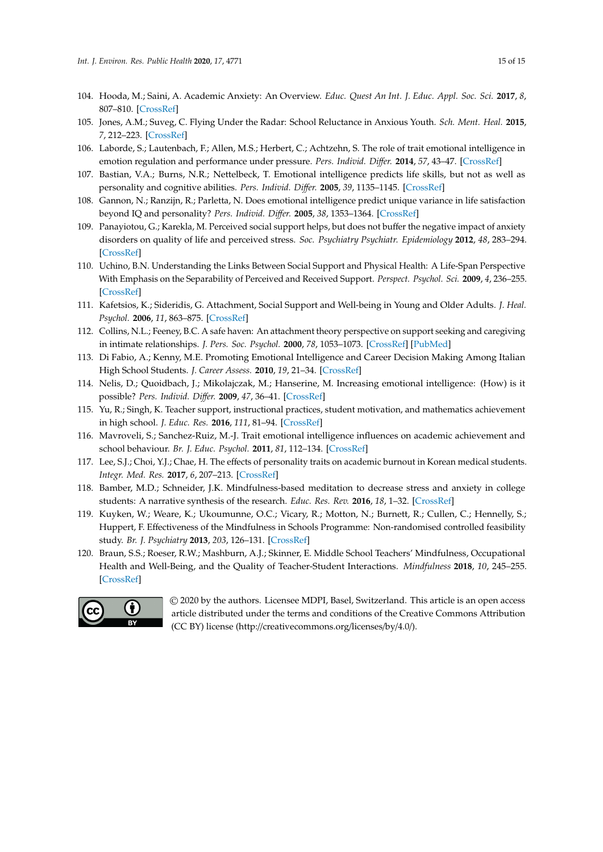- <span id="page-14-0"></span>104. Hooda, M.; Saini, A. Academic Anxiety: An Overview. *Educ. Quest An Int. J. Educ. Appl. Soc. Sci.* **2017**, *8*, 807–810. [\[CrossRef\]](http://dx.doi.org/10.5958/2230-7311.2017.00139.8)
- <span id="page-14-1"></span>105. Jones, A.M.; Suveg, C. Flying Under the Radar: School Reluctance in Anxious Youth. *Sch. Ment. Heal.* **2015**, *7*, 212–223. [\[CrossRef\]](http://dx.doi.org/10.1007/s12310-015-9148-x)
- <span id="page-14-2"></span>106. Laborde, S.; Lautenbach, F.; Allen, M.S.; Herbert, C.; Achtzehn, S. The role of trait emotional intelligence in emotion regulation and performance under pressure. *Pers. Individ. Di*ff*er.* **2014**, *57*, 43–47. [\[CrossRef\]](http://dx.doi.org/10.1016/j.paid.2013.09.013)
- <span id="page-14-3"></span>107. Bastian, V.A.; Burns, N.R.; Nettelbeck, T. Emotional intelligence predicts life skills, but not as well as personality and cognitive abilities. *Pers. Individ. Di*ff*er.* **2005**, *39*, 1135–1145. [\[CrossRef\]](http://dx.doi.org/10.1016/j.paid.2005.04.006)
- <span id="page-14-4"></span>108. Gannon, N.; Ranzijn, R.; Parletta, N. Does emotional intelligence predict unique variance in life satisfaction beyond IQ and personality? *Pers. Individ. Di*ff*er.* **2005**, *38*, 1353–1364. [\[CrossRef\]](http://dx.doi.org/10.1016/j.paid.2004.09.001)
- <span id="page-14-5"></span>109. Panayiotou, G.; Karekla, M. Perceived social support helps, but does not buffer the negative impact of anxiety disorders on quality of life and perceived stress. *Soc. Psychiatry Psychiatr. Epidemiology* **2012**, *48*, 283–294. [\[CrossRef\]](http://dx.doi.org/10.1007/s00127-012-0533-6)
- <span id="page-14-6"></span>110. Uchino, B.N. Understanding the Links Between Social Support and Physical Health: A Life-Span Perspective With Emphasis on the Separability of Perceived and Received Support. *Perspect. Psychol. Sci.* **2009**, *4*, 236–255. [\[CrossRef\]](http://dx.doi.org/10.1111/j.1745-6924.2009.01122.x)
- <span id="page-14-7"></span>111. Kafetsios, K.; Sideridis, G. Attachment, Social Support and Well-being in Young and Older Adults. *J. Heal. Psychol.* **2006**, *11*, 863–875. [\[CrossRef\]](http://dx.doi.org/10.1177/1359105306069084)
- <span id="page-14-8"></span>112. Collins, N.L.; Feeney, B.C. A safe haven: An attachment theory perspective on support seeking and caregiving in intimate relationships. *J. Pers. Soc. Psychol.* **2000**, *78*, 1053–1073. [\[CrossRef\]](http://dx.doi.org/10.1037/0022-3514.78.6.1053) [\[PubMed\]](http://www.ncbi.nlm.nih.gov/pubmed/10870908)
- <span id="page-14-9"></span>113. Di Fabio, A.; Kenny, M.E. Promoting Emotional Intelligence and Career Decision Making Among Italian High School Students. *J. Career Assess.* **2010**, *19*, 21–34. [\[CrossRef\]](http://dx.doi.org/10.1177/1069072710382530)
- <span id="page-14-10"></span>114. Nelis, D.; Quoidbach, J.; Mikolajczak, M.; Hanserine, M. Increasing emotional intelligence: (How) is it possible? *Pers. Individ. Di*ff*er.* **2009**, *47*, 36–41. [\[CrossRef\]](http://dx.doi.org/10.1016/j.paid.2009.01.046)
- <span id="page-14-11"></span>115. Yu, R.; Singh, K. Teacher support, instructional practices, student motivation, and mathematics achievement in high school. *J. Educ. Res.* **2016**, *111*, 81–94. [\[CrossRef\]](http://dx.doi.org/10.1080/00220671.2016.1204260)
- <span id="page-14-12"></span>116. Mavroveli, S.; Sanchez-Ruiz, M.-J. Trait emotional intelligence influences on academic achievement and school behaviour. *Br. J. Educ. Psychol.* **2011**, *81*, 112–134. [\[CrossRef\]](http://dx.doi.org/10.1348/2044-8279.002009)
- <span id="page-14-13"></span>117. Lee, S.J.; Choi, Y.J.; Chae, H. The effects of personality traits on academic burnout in Korean medical students. *Integr. Med. Res.* **2017**, *6*, 207–213. [\[CrossRef\]](http://dx.doi.org/10.1016/j.imr.2017.03.005)
- <span id="page-14-14"></span>118. Bamber, M.D.; Schneider, J.K. Mindfulness-based meditation to decrease stress and anxiety in college students: A narrative synthesis of the research. *Educ. Res. Rev.* **2016**, *18*, 1–32. [\[CrossRef\]](http://dx.doi.org/10.1016/j.edurev.2015.12.004)
- <span id="page-14-15"></span>119. Kuyken, W.; Weare, K.; Ukoumunne, O.C.; Vicary, R.; Motton, N.; Burnett, R.; Cullen, C.; Hennelly, S.; Huppert, F. Effectiveness of the Mindfulness in Schools Programme: Non-randomised controlled feasibility study. *Br. J. Psychiatry* **2013**, *203*, 126–131. [\[CrossRef\]](http://dx.doi.org/10.1192/bjp.bp.113.126649)
- <span id="page-14-16"></span>120. Braun, S.S.; Roeser, R.W.; Mashburn, A.J.; Skinner, E. Middle School Teachers' Mindfulness, Occupational Health and Well-Being, and the Quality of Teacher-Student Interactions. *Mindfulness* **2018**, *10*, 245–255. [\[CrossRef\]](http://dx.doi.org/10.1007/s12671-018-0968-2)



© 2020 by the authors. Licensee MDPI, Basel, Switzerland. This article is an open access article distributed under the terms and conditions of the Creative Commons Attribution (CC BY) license (http://[creativecommons.org](http://creativecommons.org/licenses/by/4.0/.)/licenses/by/4.0/).